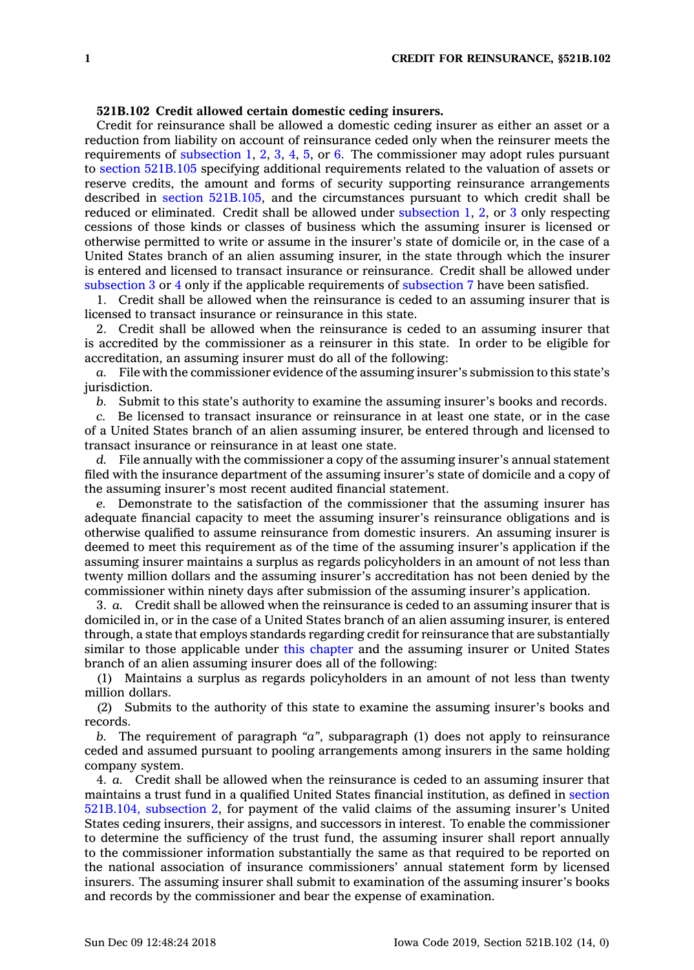## **521B.102 Credit allowed certain domestic ceding insurers.**

Credit for reinsurance shall be allowed <sup>a</sup> domestic ceding insurer as either an asset or <sup>a</sup> reduction from liability on account of reinsurance ceded only when the reinsurer meets the requirements of [subsection](https://www.legis.iowa.gov/docs/code/521B.102.pdf) 1, [2](https://www.legis.iowa.gov/docs/code/521B.102.pdf), [3](https://www.legis.iowa.gov/docs/code/521B.102.pdf), [4](https://www.legis.iowa.gov/docs/code/521B.102.pdf), [5](https://www.legis.iowa.gov/docs/code/521B.102.pdf), or [6](https://www.legis.iowa.gov/docs/code/521B.102.pdf). The commissioner may adopt rules pursuant to section [521B.105](https://www.legis.iowa.gov/docs/code/521B.105.pdf) specifying additional requirements related to the valuation of assets or reserve credits, the amount and forms of security supporting reinsurance arrangements described in section [521B.105](https://www.legis.iowa.gov/docs/code/521B.105.pdf), and the circumstances pursuant to which credit shall be reduced or eliminated. Credit shall be allowed under [subsection](https://www.legis.iowa.gov/docs/code/521B.102.pdf) 1, [2](https://www.legis.iowa.gov/docs/code/521B.102.pdf), or [3](https://www.legis.iowa.gov/docs/code/521B.102.pdf) only respecting cessions of those kinds or classes of business which the assuming insurer is licensed or otherwise permitted to write or assume in the insurer's state of domicile or, in the case of <sup>a</sup> United States branch of an alien assuming insurer, in the state through which the insurer is entered and licensed to transact insurance or reinsurance. Credit shall be allowed under [subsection](https://www.legis.iowa.gov/docs/code/521B.102.pdf) 3 or [4](https://www.legis.iowa.gov/docs/code/521B.102.pdf) only if the applicable requirements of [subsection](https://www.legis.iowa.gov/docs/code/521B.102.pdf) 7 have been satisfied.

1. Credit shall be allowed when the reinsurance is ceded to an assuming insurer that is licensed to transact insurance or reinsurance in this state.

2. Credit shall be allowed when the reinsurance is ceded to an assuming insurer that is accredited by the commissioner as <sup>a</sup> reinsurer in this state. In order to be eligible for accreditation, an assuming insurer must do all of the following:

*a.* File with the commissioner evidence of the assuming insurer's submission to this state's jurisdiction.

*b.* Submit to this state's authority to examine the assuming insurer's books and records.

*c.* Be licensed to transact insurance or reinsurance in at least one state, or in the case of <sup>a</sup> United States branch of an alien assuming insurer, be entered through and licensed to transact insurance or reinsurance in at least one state.

*d.* File annually with the commissioner <sup>a</sup> copy of the assuming insurer's annual statement filed with the insurance department of the assuming insurer's state of domicile and <sup>a</sup> copy of the assuming insurer's most recent audited financial statement.

*e.* Demonstrate to the satisfaction of the commissioner that the assuming insurer has adequate financial capacity to meet the assuming insurer's reinsurance obligations and is otherwise qualified to assume reinsurance from domestic insurers. An assuming insurer is deemed to meet this requirement as of the time of the assuming insurer's application if the assuming insurer maintains <sup>a</sup> surplus as regards policyholders in an amount of not less than twenty million dollars and the assuming insurer's accreditation has not been denied by the commissioner within ninety days after submission of the assuming insurer's application.

3. *a.* Credit shall be allowed when the reinsurance is ceded to an assuming insurer that is domiciled in, or in the case of <sup>a</sup> United States branch of an alien assuming insurer, is entered through, <sup>a</sup> state that employs standards regarding credit for reinsurance that are substantially similar to those applicable under this [chapter](https://www.legis.iowa.gov/docs/code//521B.pdf) and the assuming insurer or United States branch of an alien assuming insurer does all of the following:

(1) Maintains <sup>a</sup> surplus as regards policyholders in an amount of not less than twenty million dollars.

(2) Submits to the authority of this state to examine the assuming insurer's books and records.

*b.* The requirement of paragraph *"a"*, subparagraph (1) does not apply to reinsurance ceded and assumed pursuant to pooling arrangements among insurers in the same holding company system.

4. *a.* Credit shall be allowed when the reinsurance is ceded to an assuming insurer that maintains <sup>a</sup> trust fund in <sup>a</sup> qualified United States financial institution, as defined in [section](https://www.legis.iowa.gov/docs/code/521B.104.pdf) [521B.104,](https://www.legis.iowa.gov/docs/code/521B.104.pdf) subsection 2, for payment of the valid claims of the assuming insurer's United States ceding insurers, their assigns, and successors in interest. To enable the commissioner to determine the sufficiency of the trust fund, the assuming insurer shall report annually to the commissioner information substantially the same as that required to be reported on the national association of insurance commissioners' annual statement form by licensed insurers. The assuming insurer shall submit to examination of the assuming insurer's books and records by the commissioner and bear the expense of examination.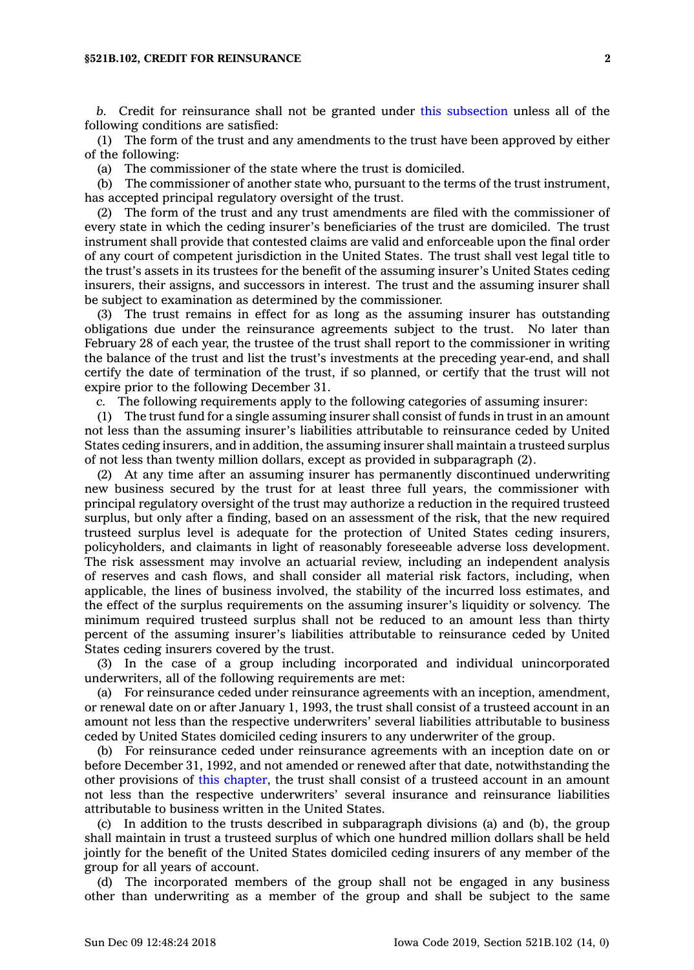## **§521B.102, CREDIT FOR REINSURANCE 2**

*b.* Credit for reinsurance shall not be granted under this [subsection](https://www.legis.iowa.gov/docs/code/521B.102.pdf) unless all of the following conditions are satisfied:

(1) The form of the trust and any amendments to the trust have been approved by either of the following:

(a) The commissioner of the state where the trust is domiciled.

(b) The commissioner of another state who, pursuant to the terms of the trust instrument, has accepted principal regulatory oversight of the trust.

(2) The form of the trust and any trust amendments are filed with the commissioner of every state in which the ceding insurer's beneficiaries of the trust are domiciled. The trust instrument shall provide that contested claims are valid and enforceable upon the final order of any court of competent jurisdiction in the United States. The trust shall vest legal title to the trust's assets in its trustees for the benefit of the assuming insurer's United States ceding insurers, their assigns, and successors in interest. The trust and the assuming insurer shall be subject to examination as determined by the commissioner.

(3) The trust remains in effect for as long as the assuming insurer has outstanding obligations due under the reinsurance agreements subject to the trust. No later than February 28 of each year, the trustee of the trust shall report to the commissioner in writing the balance of the trust and list the trust's investments at the preceding year-end, and shall certify the date of termination of the trust, if so planned, or certify that the trust will not expire prior to the following December 31.

*c.* The following requirements apply to the following categories of assuming insurer:

(1) The trust fund for <sup>a</sup> single assuming insurer shall consist of funds in trust in an amount not less than the assuming insurer's liabilities attributable to reinsurance ceded by United States ceding insurers, and in addition, the assuming insurer shall maintain <sup>a</sup> trusteed surplus of not less than twenty million dollars, except as provided in subparagraph (2).

(2) At any time after an assuming insurer has permanently discontinued underwriting new business secured by the trust for at least three full years, the commissioner with principal regulatory oversight of the trust may authorize <sup>a</sup> reduction in the required trusteed surplus, but only after <sup>a</sup> finding, based on an assessment of the risk, that the new required trusteed surplus level is adequate for the protection of United States ceding insurers, policyholders, and claimants in light of reasonably foreseeable adverse loss development. The risk assessment may involve an actuarial review, including an independent analysis of reserves and cash flows, and shall consider all material risk factors, including, when applicable, the lines of business involved, the stability of the incurred loss estimates, and the effect of the surplus requirements on the assuming insurer's liquidity or solvency. The minimum required trusteed surplus shall not be reduced to an amount less than thirty percent of the assuming insurer's liabilities attributable to reinsurance ceded by United States ceding insurers covered by the trust.

(3) In the case of <sup>a</sup> group including incorporated and individual unincorporated underwriters, all of the following requirements are met:

(a) For reinsurance ceded under reinsurance agreements with an inception, amendment, or renewal date on or after January 1, 1993, the trust shall consist of <sup>a</sup> trusteed account in an amount not less than the respective underwriters' several liabilities attributable to business ceded by United States domiciled ceding insurers to any underwriter of the group.

(b) For reinsurance ceded under reinsurance agreements with an inception date on or before December 31, 1992, and not amended or renewed after that date, notwithstanding the other provisions of this [chapter](https://www.legis.iowa.gov/docs/code//521B.pdf), the trust shall consist of <sup>a</sup> trusteed account in an amount not less than the respective underwriters' several insurance and reinsurance liabilities attributable to business written in the United States.

(c) In addition to the trusts described in subparagraph divisions (a) and (b), the group shall maintain in trust <sup>a</sup> trusteed surplus of which one hundred million dollars shall be held jointly for the benefit of the United States domiciled ceding insurers of any member of the group for all years of account.

(d) The incorporated members of the group shall not be engaged in any business other than underwriting as <sup>a</sup> member of the group and shall be subject to the same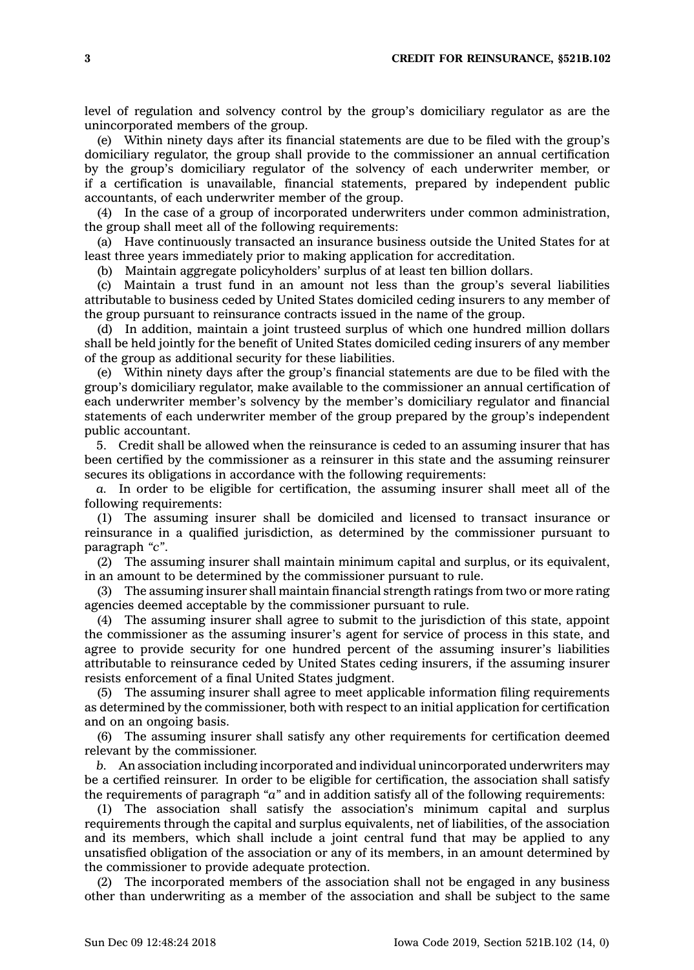level of regulation and solvency control by the group's domiciliary regulator as are the unincorporated members of the group.

(e) Within ninety days after its financial statements are due to be filed with the group's domiciliary regulator, the group shall provide to the commissioner an annual certification by the group's domiciliary regulator of the solvency of each underwriter member, or if <sup>a</sup> certification is unavailable, financial statements, prepared by independent public accountants, of each underwriter member of the group.

(4) In the case of <sup>a</sup> group of incorporated underwriters under common administration, the group shall meet all of the following requirements:

(a) Have continuously transacted an insurance business outside the United States for at least three years immediately prior to making application for accreditation.

(b) Maintain aggregate policyholders' surplus of at least ten billion dollars.

(c) Maintain <sup>a</sup> trust fund in an amount not less than the group's several liabilities attributable to business ceded by United States domiciled ceding insurers to any member of the group pursuant to reinsurance contracts issued in the name of the group.

(d) In addition, maintain <sup>a</sup> joint trusteed surplus of which one hundred million dollars shall be held jointly for the benefit of United States domiciled ceding insurers of any member of the group as additional security for these liabilities.

(e) Within ninety days after the group's financial statements are due to be filed with the group's domiciliary regulator, make available to the commissioner an annual certification of each underwriter member's solvency by the member's domiciliary regulator and financial statements of each underwriter member of the group prepared by the group's independent public accountant.

5. Credit shall be allowed when the reinsurance is ceded to an assuming insurer that has been certified by the commissioner as <sup>a</sup> reinsurer in this state and the assuming reinsurer secures its obligations in accordance with the following requirements:

*a.* In order to be eligible for certification, the assuming insurer shall meet all of the following requirements:

(1) The assuming insurer shall be domiciled and licensed to transact insurance or reinsurance in <sup>a</sup> qualified jurisdiction, as determined by the commissioner pursuant to paragraph *"c"*.

(2) The assuming insurer shall maintain minimum capital and surplus, or its equivalent, in an amount to be determined by the commissioner pursuant to rule.

(3) The assuming insurer shall maintain financial strength ratings from two or more rating agencies deemed acceptable by the commissioner pursuant to rule.

(4) The assuming insurer shall agree to submit to the jurisdiction of this state, appoint the commissioner as the assuming insurer's agent for service of process in this state, and agree to provide security for one hundred percent of the assuming insurer's liabilities attributable to reinsurance ceded by United States ceding insurers, if the assuming insurer resists enforcement of <sup>a</sup> final United States judgment.

(5) The assuming insurer shall agree to meet applicable information filing requirements as determined by the commissioner, both with respect to an initial application for certification and on an ongoing basis.

(6) The assuming insurer shall satisfy any other requirements for certification deemed relevant by the commissioner.

*b.* An association including incorporated and individual unincorporated underwriters may be <sup>a</sup> certified reinsurer. In order to be eligible for certification, the association shall satisfy the requirements of paragraph *"a"* and in addition satisfy all of the following requirements:

(1) The association shall satisfy the association's minimum capital and surplus requirements through the capital and surplus equivalents, net of liabilities, of the association and its members, which shall include <sup>a</sup> joint central fund that may be applied to any unsatisfied obligation of the association or any of its members, in an amount determined by the commissioner to provide adequate protection.

(2) The incorporated members of the association shall not be engaged in any business other than underwriting as <sup>a</sup> member of the association and shall be subject to the same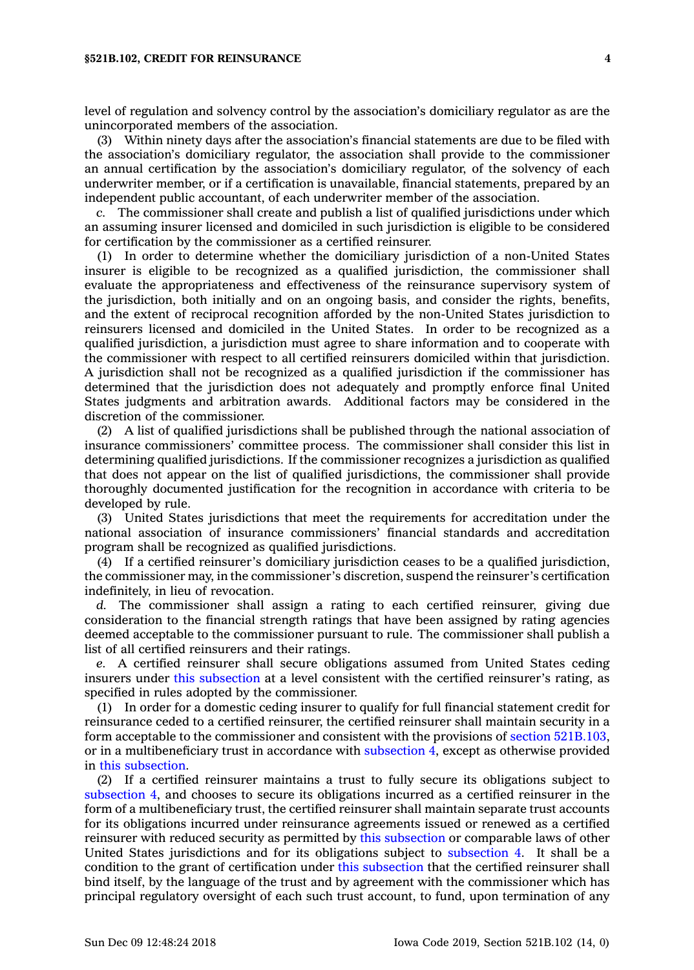level of regulation and solvency control by the association's domiciliary regulator as are the unincorporated members of the association.

(3) Within ninety days after the association's financial statements are due to be filed with the association's domiciliary regulator, the association shall provide to the commissioner an annual certification by the association's domiciliary regulator, of the solvency of each underwriter member, or if <sup>a</sup> certification is unavailable, financial statements, prepared by an independent public accountant, of each underwriter member of the association.

*c.* The commissioner shall create and publish <sup>a</sup> list of qualified jurisdictions under which an assuming insurer licensed and domiciled in such jurisdiction is eligible to be considered for certification by the commissioner as <sup>a</sup> certified reinsurer.

(1) In order to determine whether the domiciliary jurisdiction of <sup>a</sup> non-United States insurer is eligible to be recognized as <sup>a</sup> qualified jurisdiction, the commissioner shall evaluate the appropriateness and effectiveness of the reinsurance supervisory system of the jurisdiction, both initially and on an ongoing basis, and consider the rights, benefits, and the extent of reciprocal recognition afforded by the non-United States jurisdiction to reinsurers licensed and domiciled in the United States. In order to be recognized as <sup>a</sup> qualified jurisdiction, <sup>a</sup> jurisdiction must agree to share information and to cooperate with the commissioner with respect to all certified reinsurers domiciled within that jurisdiction. A jurisdiction shall not be recognized as <sup>a</sup> qualified jurisdiction if the commissioner has determined that the jurisdiction does not adequately and promptly enforce final United States judgments and arbitration awards. Additional factors may be considered in the discretion of the commissioner.

(2) A list of qualified jurisdictions shall be published through the national association of insurance commissioners' committee process. The commissioner shall consider this list in determining qualified jurisdictions. If the commissioner recognizes <sup>a</sup> jurisdiction as qualified that does not appear on the list of qualified jurisdictions, the commissioner shall provide thoroughly documented justification for the recognition in accordance with criteria to be developed by rule.

(3) United States jurisdictions that meet the requirements for accreditation under the national association of insurance commissioners' financial standards and accreditation program shall be recognized as qualified jurisdictions.

(4) If <sup>a</sup> certified reinsurer's domiciliary jurisdiction ceases to be <sup>a</sup> qualified jurisdiction, the commissioner may, in the commissioner's discretion, suspend the reinsurer's certification indefinitely, in lieu of revocation.

*d.* The commissioner shall assign <sup>a</sup> rating to each certified reinsurer, giving due consideration to the financial strength ratings that have been assigned by rating agencies deemed acceptable to the commissioner pursuant to rule. The commissioner shall publish <sup>a</sup> list of all certified reinsurers and their ratings.

*e.* A certified reinsurer shall secure obligations assumed from United States ceding insurers under this [subsection](https://www.legis.iowa.gov/docs/code/521B.102.pdf) at <sup>a</sup> level consistent with the certified reinsurer's rating, as specified in rules adopted by the commissioner.

(1) In order for <sup>a</sup> domestic ceding insurer to qualify for full financial statement credit for reinsurance ceded to <sup>a</sup> certified reinsurer, the certified reinsurer shall maintain security in <sup>a</sup> form acceptable to the commissioner and consistent with the provisions of section [521B.103](https://www.legis.iowa.gov/docs/code/521B.103.pdf), or in <sup>a</sup> multibeneficiary trust in accordance with [subsection](https://www.legis.iowa.gov/docs/code/521B.102.pdf) 4, except as otherwise provided in this [subsection](https://www.legis.iowa.gov/docs/code/521B.102.pdf).

(2) If <sup>a</sup> certified reinsurer maintains <sup>a</sup> trust to fully secure its obligations subject to [subsection](https://www.legis.iowa.gov/docs/code/521B.102.pdf) 4, and chooses to secure its obligations incurred as <sup>a</sup> certified reinsurer in the form of <sup>a</sup> multibeneficiary trust, the certified reinsurer shall maintain separate trust accounts for its obligations incurred under reinsurance agreements issued or renewed as <sup>a</sup> certified reinsurer with reduced security as permitted by this [subsection](https://www.legis.iowa.gov/docs/code/521B.102.pdf) or comparable laws of other United States jurisdictions and for its obligations subject to [subsection](https://www.legis.iowa.gov/docs/code/521B.102.pdf) 4. It shall be <sup>a</sup> condition to the grant of certification under this [subsection](https://www.legis.iowa.gov/docs/code/521B.102.pdf) that the certified reinsurer shall bind itself, by the language of the trust and by agreement with the commissioner which has principal regulatory oversight of each such trust account, to fund, upon termination of any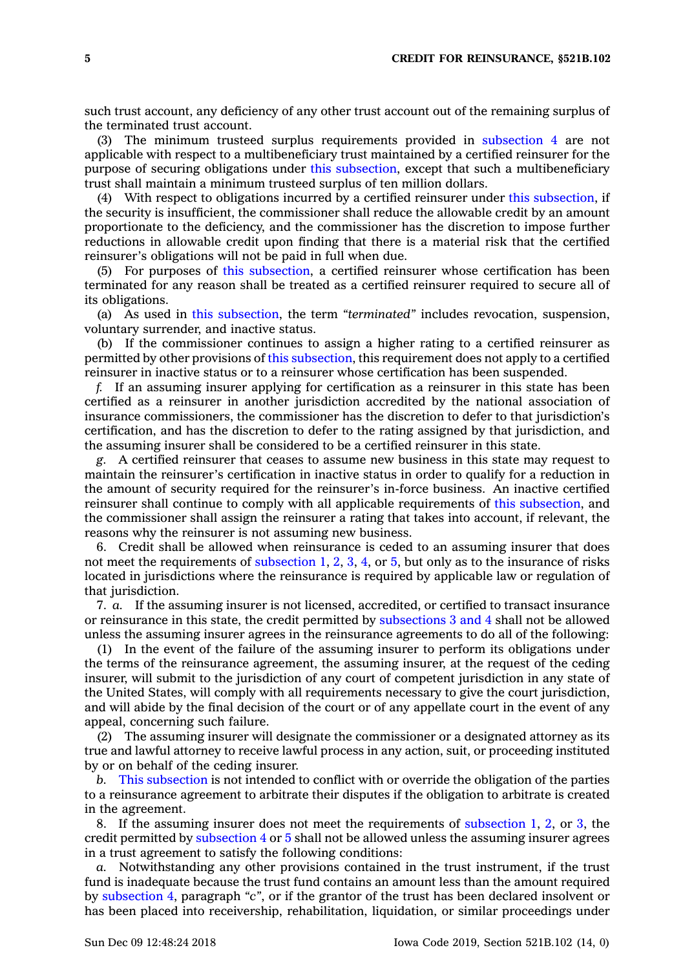such trust account, any deficiency of any other trust account out of the remaining surplus of the terminated trust account.

(3) The minimum trusteed surplus requirements provided in [subsection](https://www.legis.iowa.gov/docs/code/521B.102.pdf) 4 are not applicable with respect to <sup>a</sup> multibeneficiary trust maintained by <sup>a</sup> certified reinsurer for the purpose of securing obligations under this [subsection](https://www.legis.iowa.gov/docs/code/521B.102.pdf), except that such <sup>a</sup> multibeneficiary trust shall maintain <sup>a</sup> minimum trusteed surplus of ten million dollars.

(4) With respect to obligations incurred by <sup>a</sup> certified reinsurer under this [subsection](https://www.legis.iowa.gov/docs/code/521B.102.pdf), if the security is insufficient, the commissioner shall reduce the allowable credit by an amount proportionate to the deficiency, and the commissioner has the discretion to impose further reductions in allowable credit upon finding that there is <sup>a</sup> material risk that the certified reinsurer's obligations will not be paid in full when due.

(5) For purposes of this [subsection](https://www.legis.iowa.gov/docs/code/521B.102.pdf), <sup>a</sup> certified reinsurer whose certification has been terminated for any reason shall be treated as <sup>a</sup> certified reinsurer required to secure all of its obligations.

(a) As used in this [subsection](https://www.legis.iowa.gov/docs/code/521B.102.pdf), the term *"terminated"* includes revocation, suspension, voluntary surrender, and inactive status.

(b) If the commissioner continues to assign <sup>a</sup> higher rating to <sup>a</sup> certified reinsurer as permitted by other provisions of this [subsection](https://www.legis.iowa.gov/docs/code/521B.102.pdf), this requirement does not apply to <sup>a</sup> certified reinsurer in inactive status or to <sup>a</sup> reinsurer whose certification has been suspended.

*f.* If an assuming insurer applying for certification as <sup>a</sup> reinsurer in this state has been certified as <sup>a</sup> reinsurer in another jurisdiction accredited by the national association of insurance commissioners, the commissioner has the discretion to defer to that jurisdiction's certification, and has the discretion to defer to the rating assigned by that jurisdiction, and the assuming insurer shall be considered to be <sup>a</sup> certified reinsurer in this state.

*g.* A certified reinsurer that ceases to assume new business in this state may request to maintain the reinsurer's certification in inactive status in order to qualify for <sup>a</sup> reduction in the amount of security required for the reinsurer's in-force business. An inactive certified reinsurer shall continue to comply with all applicable requirements of this [subsection](https://www.legis.iowa.gov/docs/code/521B.102.pdf), and the commissioner shall assign the reinsurer <sup>a</sup> rating that takes into account, if relevant, the reasons why the reinsurer is not assuming new business.

6. Credit shall be allowed when reinsurance is ceded to an assuming insurer that does not meet the requirements of [subsection](https://www.legis.iowa.gov/docs/code/521B.102.pdf) 1, [2](https://www.legis.iowa.gov/docs/code/521B.102.pdf), [3](https://www.legis.iowa.gov/docs/code/521B.102.pdf), [4](https://www.legis.iowa.gov/docs/code/521B.102.pdf), or [5](https://www.legis.iowa.gov/docs/code/521B.102.pdf), but only as to the insurance of risks located in jurisdictions where the reinsurance is required by applicable law or regulation of that jurisdiction.

7. *a.* If the assuming insurer is not licensed, accredited, or certified to transact insurance or reinsurance in this state, the credit permitted by [subsections](https://www.legis.iowa.gov/docs/code/521B.102.pdf) 3 and 4 shall not be allowed unless the assuming insurer agrees in the reinsurance agreements to do all of the following:

(1) In the event of the failure of the assuming insurer to perform its obligations under the terms of the reinsurance agreement, the assuming insurer, at the request of the ceding insurer, will submit to the jurisdiction of any court of competent jurisdiction in any state of the United States, will comply with all requirements necessary to give the court jurisdiction, and will abide by the final decision of the court or of any appellate court in the event of any appeal, concerning such failure.

(2) The assuming insurer will designate the commissioner or <sup>a</sup> designated attorney as its true and lawful attorney to receive lawful process in any action, suit, or proceeding instituted by or on behalf of the ceding insurer.

*b.* This [subsection](https://www.legis.iowa.gov/docs/code/521B.102.pdf) is not intended to conflict with or override the obligation of the parties to <sup>a</sup> reinsurance agreement to arbitrate their disputes if the obligation to arbitrate is created in the agreement.

8. If the assuming insurer does not meet the requirements of [subsection](https://www.legis.iowa.gov/docs/code/521B.102.pdf) 1, [2](https://www.legis.iowa.gov/docs/code/521B.102.pdf), or [3](https://www.legis.iowa.gov/docs/code/521B.102.pdf), the credit permitted by [subsection](https://www.legis.iowa.gov/docs/code/521B.102.pdf) 4 or [5](https://www.legis.iowa.gov/docs/code/521B.102.pdf) shall not be allowed unless the assuming insurer agrees in <sup>a</sup> trust agreement to satisfy the following conditions:

*a.* Notwithstanding any other provisions contained in the trust instrument, if the trust fund is inadequate because the trust fund contains an amount less than the amount required by [subsection](https://www.legis.iowa.gov/docs/code/521B.102.pdf) 4, paragraph *"c"*, or if the grantor of the trust has been declared insolvent or has been placed into receivership, rehabilitation, liquidation, or similar proceedings under